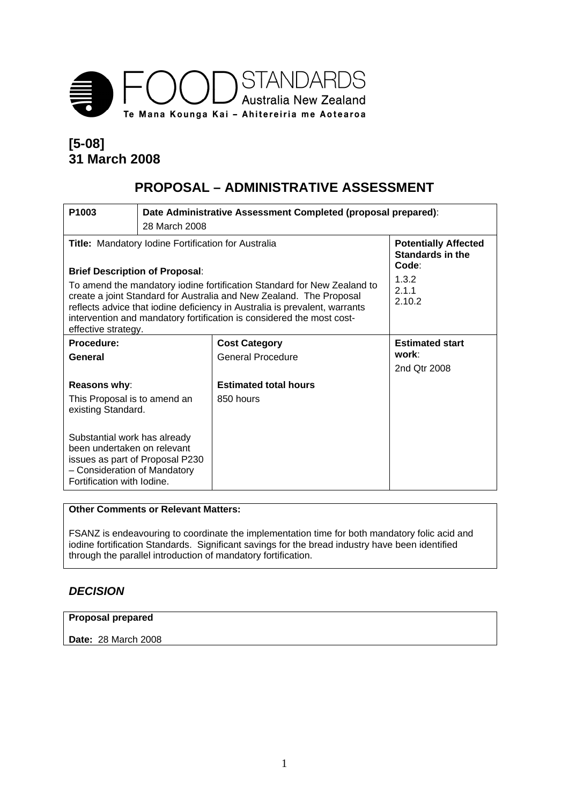

# **[5-08] 31 March 2008**

# **PROPOSAL – ADMINISTRATIVE ASSESSMENT**

| P <sub>1003</sub>                                                                                                                                                                                                                                                                                                                                                                                                                                                                                                           | Date Administrative Assessment Completed (proposal prepared):<br>28 March 2008 |                                           |                                                 |  |
|-----------------------------------------------------------------------------------------------------------------------------------------------------------------------------------------------------------------------------------------------------------------------------------------------------------------------------------------------------------------------------------------------------------------------------------------------------------------------------------------------------------------------------|--------------------------------------------------------------------------------|-------------------------------------------|-------------------------------------------------|--|
| <b>Potentially Affected</b><br><b>Title:</b> Mandatory Iodine Fortification for Australia<br>Standards in the<br>Code:<br><b>Brief Description of Proposal:</b><br>1.3.2<br>To amend the mandatory iodine fortification Standard for New Zealand to<br>2.1.1<br>create a joint Standard for Australia and New Zealand. The Proposal<br>2.10.2<br>reflects advice that iodine deficiency in Australia is prevalent, warrants<br>intervention and mandatory fortification is considered the most cost-<br>effective strategy. |                                                                                |                                           |                                                 |  |
| Procedure:<br>General                                                                                                                                                                                                                                                                                                                                                                                                                                                                                                       |                                                                                | <b>Cost Category</b><br>General Procedure | <b>Estimated start</b><br>work:<br>2nd Otr 2008 |  |
| Reasons why:<br>This Proposal is to amend an<br>existing Standard.<br>Substantial work has already<br>been undertaken on relevant<br>issues as part of Proposal P230<br>- Consideration of Mandatory<br>Fortification with Iodine.                                                                                                                                                                                                                                                                                          |                                                                                | <b>Estimated total hours</b><br>850 hours |                                                 |  |

### **Other Comments or Relevant Matters:**

FSANZ is endeavouring to coordinate the implementation time for both mandatory folic acid and iodine fortification Standards. Significant savings for the bread industry have been identified through the parallel introduction of mandatory fortification.

## *DECISION*

#### **Proposal prepared**

**Date:** 28 March 2008